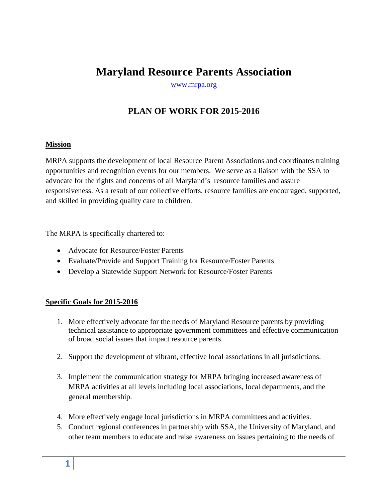# **Maryland Resource Parents Association**

[www.mrpa.org](http://www.mrpa.org/)

# **PLAN OF WORK FOR 2015-2016**

## **Mission**

MRPA supports the development of local Resource Parent Associations and coordinates training opportunities and recognition events for our members. We serve as a liaison with the SSA to advocate for the rights and concerns of all Maryland's resource families and assure responsiveness. As a result of our collective efforts, resource families are encouraged, supported, and skilled in providing quality care to children.

The MRPA is specifically chartered to:

- Advocate for Resource/Foster Parents
- Evaluate/Provide and Support Training for Resource/Foster Parents
- Develop a Statewide Support Network for Resource/Foster Parents

## **Specific Goals for 2015-2016**

- 1. More effectively advocate for the needs of Maryland Resource parents by providing technical assistance to appropriate government committees and effective communication of broad social issues that impact resource parents.
- 2. Support the development of vibrant, effective local associations in all jurisdictions.
- 3. Implement the communication strategy for MRPA bringing increased awareness of MRPA activities at all levels including local associations, local departments, and the general membership.
- 4. More effectively engage local jurisdictions in MRPA committees and activities.
- 5. Conduct regional conferences in partnership with SSA, the University of Maryland, and other team members to educate and raise awareness on issues pertaining to the needs of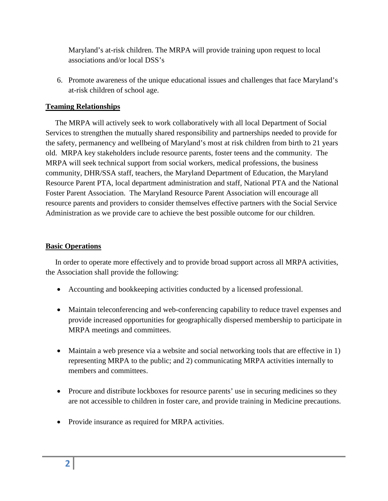Maryland's at-risk children. The MRPA will provide training upon request to local associations and/or local DSS's

6. Promote awareness of the unique educational issues and challenges that face Maryland's at-risk children of school age.

## **Teaming Relationships**

 The MRPA will actively seek to work collaboratively with all local Department of Social Services to strengthen the mutually shared responsibility and partnerships needed to provide for the safety, permanency and wellbeing of Maryland's most at risk children from birth to 21 years old. MRPA key stakeholders include resource parents, foster teens and the community. The MRPA will seek technical support from social workers, medical professions, the business community, DHR/SSA staff, teachers, the Maryland Department of Education, the Maryland Resource Parent PTA, local department administration and staff, National PTA and the National Foster Parent Association. The Maryland Resource Parent Association will encourage all resource parents and providers to consider themselves effective partners with the Social Service Administration as we provide care to achieve the best possible outcome for our children.

## **Basic Operations**

 In order to operate more effectively and to provide broad support across all MRPA activities, the Association shall provide the following:

- Accounting and bookkeeping activities conducted by a licensed professional.
- Maintain teleconferencing and web-conferencing capability to reduce travel expenses and provide increased opportunities for geographically dispersed membership to participate in MRPA meetings and committees.
- Maintain a web presence via a website and social networking tools that are effective in 1) representing MRPA to the public; and 2) communicating MRPA activities internally to members and committees.
- Procure and distribute lockboxes for resource parents' use in securing medicines so they are not accessible to children in foster care, and provide training in Medicine precautions.
- Provide insurance as required for MRPA activities.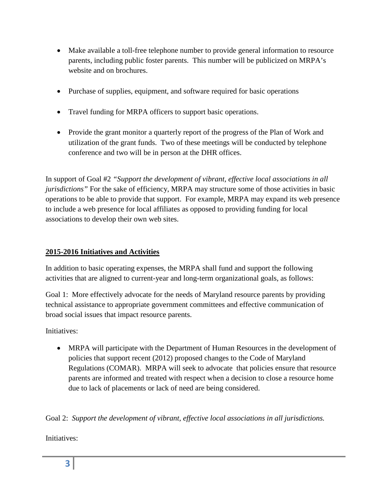- Make available a toll-free telephone number to provide general information to resource parents, including public foster parents. This number will be publicized on MRPA's website and on brochures.
- Purchase of supplies, equipment, and software required for basic operations
- Travel funding for MRPA officers to support basic operations.
- Provide the grant monitor a quarterly report of the progress of the Plan of Work and utilization of the grant funds. Two of these meetings will be conducted by telephone conference and two will be in person at the DHR offices.

In support of Goal #2 *"Support the development of vibrant, effective local associations in all jurisdictions"* For the sake of efficiency, MRPA may structure some of those activities in basic operations to be able to provide that support. For example, MRPA may expand its web presence to include a web presence for local affiliates as opposed to providing funding for local associations to develop their own web sites.

# **2015-2016 Initiatives and Activities**

In addition to basic operating expenses, the MRPA shall fund and support the following activities that are aligned to current-year and long-term organizational goals, as follows:

Goal 1: More effectively advocate for the needs of Maryland resource parents by providing technical assistance to appropriate government committees and effective communication of broad social issues that impact resource parents.

Initiatives:

• MRPA will participate with the Department of Human Resources in the development of policies that support recent (2012) proposed changes to the Code of Maryland Regulations (COMAR). MRPA will seek to advocate that policies ensure that resource parents are informed and treated with respect when a decision to close a resource home due to lack of placements or lack of need are being considered.

Goal 2: *Support the development of vibrant, effective local associations in all jurisdictions.*

Initiatives: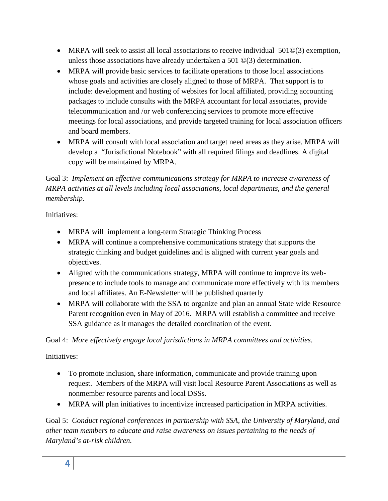- MRPA will seek to assist all local associations to receive individual 501 $\mathcal{O}(3)$  exemption, unless those associations have already undertaken a 501 ©(3) determination.
- MRPA will provide basic services to facilitate operations to those local associations whose goals and activities are closely aligned to those of MRPA. That support is to include: development and hosting of websites for local affiliated, providing accounting packages to include consults with the MRPA accountant for local associates, provide telecommunication and /or web conferencing services to promote more effective meetings for local associations, and provide targeted training for local association officers and board members.
- MRPA will consult with local association and target need areas as they arise. MRPA will develop a "Jurisdictional Notebook" with all required filings and deadlines. A digital copy will be maintained by MRPA.

Goal 3: *Implement an effective communications strategy for MRPA to increase awareness of MRPA activities at all levels including local associations, local departments, and the general membership.*

Initiatives:

- MRPA will implement a long-term Strategic Thinking Process
- MRPA will continue a comprehensive communications strategy that supports the strategic thinking and budget guidelines and is aligned with current year goals and objectives.
- Aligned with the communications strategy, MRPA will continue to improve its webpresence to include tools to manage and communicate more effectively with its members and local affiliates. An E-Newsletter will be published quarterly
- MRPA will collaborate with the SSA to organize and plan an annual State wide Resource Parent recognition even in May of 2016. MRPA will establish a committee and receive SSA guidance as it manages the detailed coordination of the event.

Goal 4: *More effectively engage local jurisdictions in MRPA committees and activities.*

Initiatives:

- To promote inclusion, share information, communicate and provide training upon request. Members of the MRPA will visit local Resource Parent Associations as well as nonmember resource parents and local DSSs.
- MRPA will plan initiatives to incentivize increased participation in MRPA activities.

Goal 5: *Conduct regional conferences in partnership with SSA, the University of Maryland, and other team members to educate and raise awareness on issues pertaining to the needs of Maryland's at-risk children.*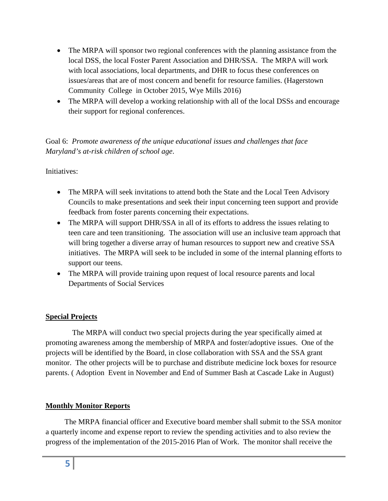- The MRPA will sponsor two regional conferences with the planning assistance from the local DSS, the local Foster Parent Association and DHR/SSA. The MRPA will work with local associations, local departments, and DHR to focus these conferences on issues/areas that are of most concern and benefit for resource families. (Hagerstown Community College in October 2015, Wye Mills 2016)
- The MRPA will develop a working relationship with all of the local DSSs and encourage their support for regional conferences.

Goal 6: *Promote awareness of the unique educational issues and challenges that face Maryland's at-risk children of school age*.

## Initiatives:

- The MRPA will seek invitations to attend both the State and the Local Teen Advisory Councils to make presentations and seek their input concerning teen support and provide feedback from foster parents concerning their expectations.
- The MRPA will support DHR/SSA in all of its efforts to address the issues relating to teen care and teen transitioning. The association will use an inclusive team approach that will bring together a diverse array of human resources to support new and creative SSA initiatives. The MRPA will seek to be included in some of the internal planning efforts to support our teens.
- The MRPA will provide training upon request of local resource parents and local Departments of Social Services

## **Special Projects**

 The MRPA will conduct two special projects during the year specifically aimed at promoting awareness among the membership of MRPA and foster/adoptive issues. One of the projects will be identified by the Board, in close collaboration with SSA and the SSA grant monitor. The other projects will be to purchase and distribute medicine lock boxes for resource parents. ( Adoption Event in November and End of Summer Bash at Cascade Lake in August)

## **Monthly Monitor Reports**

 The MRPA financial officer and Executive board member shall submit to the SSA monitor a quarterly income and expense report to review the spending activities and to also review the progress of the implementation of the 2015-2016 Plan of Work. The monitor shall receive the